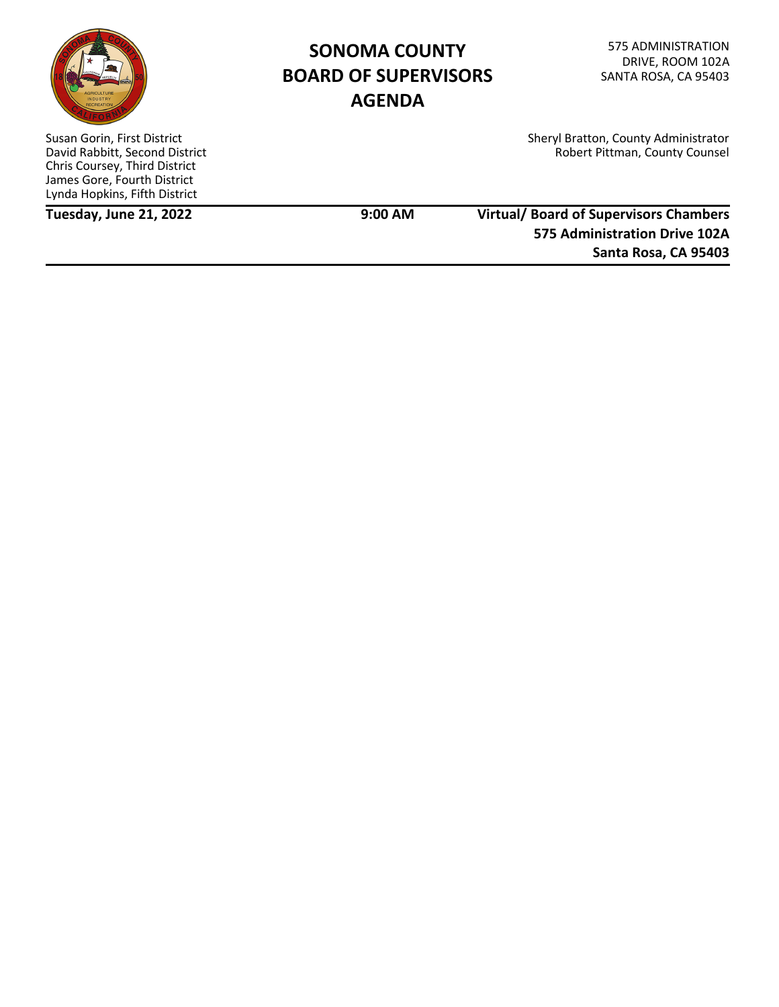

# **SONOMA COUNTY BOARD OF SUPERVISORS AGENDA**

Sheryl Bratton, County Administrator Robert Pittman, County Counsel

Susan Gorin, First District David Rabbitt, Second District Chris Coursey, Third District James Gore, Fourth District Lynda Hopkins, Fifth District

**Tuesday, June 21, 2022 9:00 AM**

# **Virtual/ Board of Supervisors Chambers 575 Administration Drive 102A Santa Rosa, CA 95403**